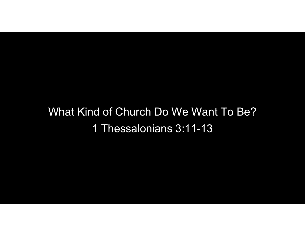## What Kind of Church Do We Want To Be? 1 Thessalonians 3:11-13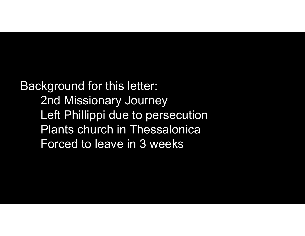Background for this letter: 2nd Missionary Journey kground for this letter:<br>2nd Missionary Journey<br>Left Phillippi due to persecution<br>Plants church in Thessalonica Plants church in Thessalonica Forced to leave in 3 weeks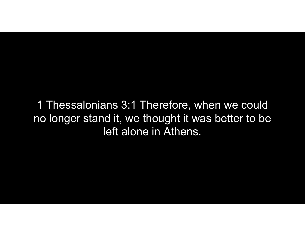1 Thessalonians 3:1 Therefore, when we could no longer stand it, we thought it was better to be left alone in Athens.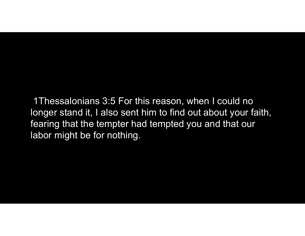1Thessalonians 3:5 For this reason, when I could no longer stand it, I also sent him to find out about your faith, fearing that the tempter had tempted you and that our labor might be for nothing.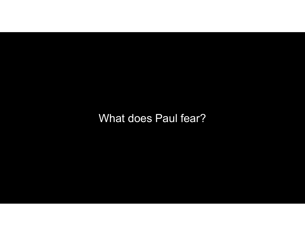What does Paul fear?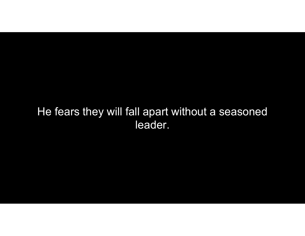## He fears they will fall apart without a seasoned leader.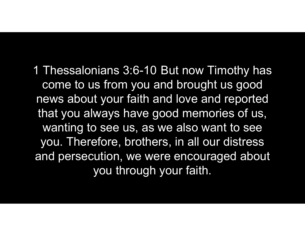1 Thessalonians 3:6-10 But now Timothy has come to us from you and brought us good news about your faith and love and reported that you always have good memories of us, wanting to see us, as we also want to see you. Therefore, brothers, in all our distress and persecution, we were encouraged about you through your faith.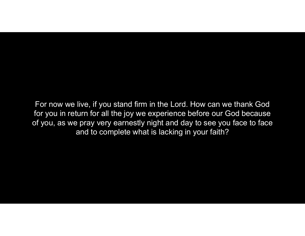For now we live, if you stand firm in the Lord. How can we thank God for you in return for all the joy we experience before our God because of you, as we pray very earnestly night and day to see you face to face and to complete what is lacking in your faith?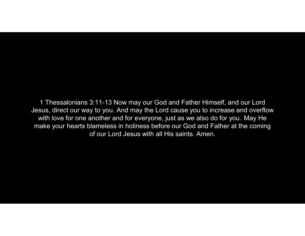1 Thessalonians 3:11-13 Now may our God and Father Himself, and our Lord Jesus, direct our way to you. And may the Lord cause you to increase and overflow with love for one another and for everyone, just as we also do for you. May He make your hearts blameless in holiness before our God and Father at the coming of our Lord Jesus with all His saints. Amen.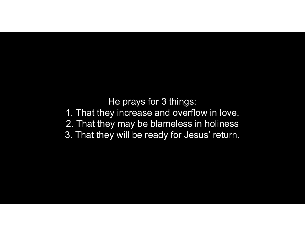He prays for 3 things: 1. That they increase and overflow in love. 2. That they may be blameless in holiness 3. That they will be ready for Jesus' return.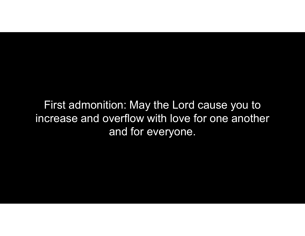First admonition: May the Lord cause you to increase and overflow with love for one another and for everyone.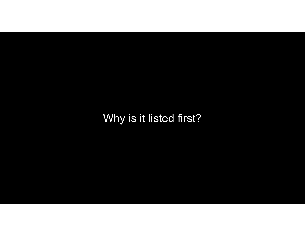Why is it listed first?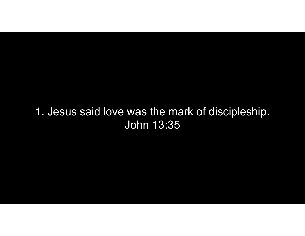## 1. Jesus said love was the mark of discipleship. John 13:35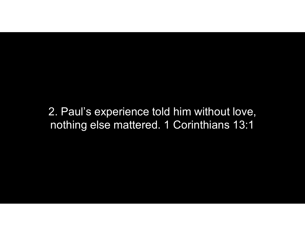2. Paul's experience told him without love, nothing else mattered. 1 Corinthians 13:1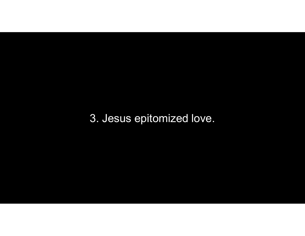3. Jesus epitomized love.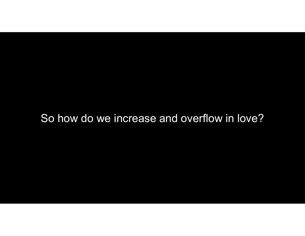## So how do we increase and overflow in love?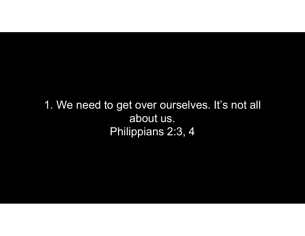1. We need to get over ourselves. It's not all about us. Philippians 2:3, 4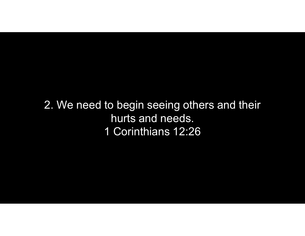2. We need to begin seeing others and their hurts and needs. 1 Corinthians 12:26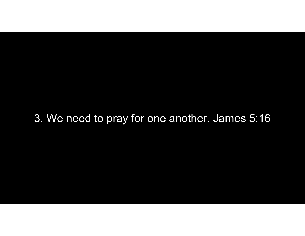3. We need to pray for one another. James 5:16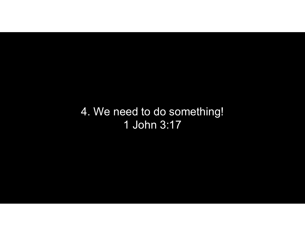4. We need to do something! 1 John 3:17